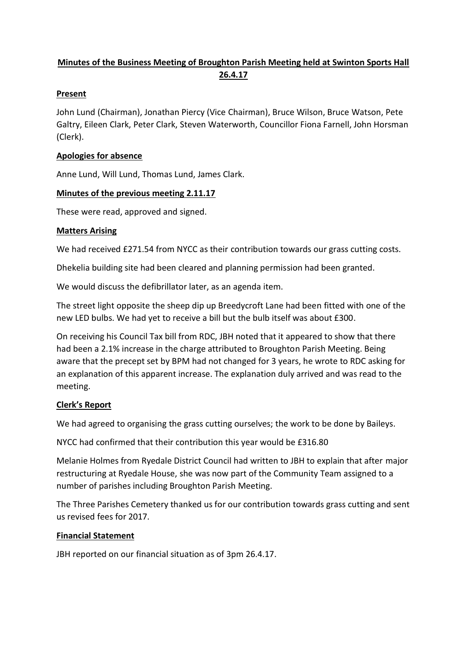# **Minutes of the Business Meeting of Broughton Parish Meeting held at Swinton Sports Hall 26.4.17**

### **Present**

John Lund (Chairman), Jonathan Piercy (Vice Chairman), Bruce Wilson, Bruce Watson, Pete Galtry, Eileen Clark, Peter Clark, Steven Waterworth, Councillor Fiona Farnell, John Horsman (Clerk).

### **Apologies for absence**

Anne Lund, Will Lund, Thomas Lund, James Clark.

### **Minutes of the previous meeting 2.11.17**

These were read, approved and signed.

### **Matters Arising**

We had received £271.54 from NYCC as their contribution towards our grass cutting costs.

Dhekelia building site had been cleared and planning permission had been granted.

We would discuss the defibrillator later, as an agenda item.

The street light opposite the sheep dip up Breedycroft Lane had been fitted with one of the new LED bulbs. We had yet to receive a bill but the bulb itself was about £300.

On receiving his Council Tax bill from RDC, JBH noted that it appeared to show that there had been a 2.1% increase in the charge attributed to Broughton Parish Meeting. Being aware that the precept set by BPM had not changed for 3 years, he wrote to RDC asking for an explanation of this apparent increase. The explanation duly arrived and was read to the meeting.

## **Clerk's Report**

We had agreed to organising the grass cutting ourselves; the work to be done by Baileys.

NYCC had confirmed that their contribution this year would be £316.80

Melanie Holmes from Ryedale District Council had written to JBH to explain that after major restructuring at Ryedale House, she was now part of the Community Team assigned to a number of parishes including Broughton Parish Meeting.

The Three Parishes Cemetery thanked us for our contribution towards grass cutting and sent us revised fees for 2017.

## **Financial Statement**

JBH reported on our financial situation as of 3pm 26.4.17.